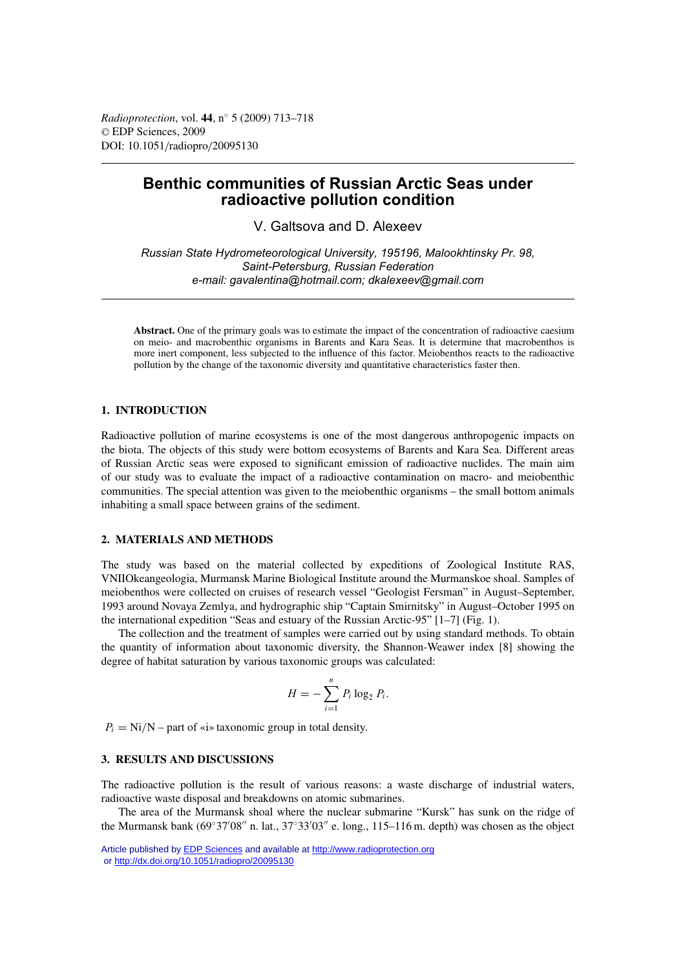*Radioprotection*, vol. **44**, n◦ 5 (2009) 713–718 © EDP Sciences, 2009 DOI: 10.1051/radiopro/20095130

# **Benthic communities of Russian Arctic Seas under radioactive pollution condition**

V. Galtsova and D. Alexeev

*Russian State Hydrometeorological University, 195196, Malookhtinsky Pr. 98, Saint-Petersburg, Russian Federation e-mail: gavalentina@hotmail.com; dkalexeev@gmail.com*

**Abstract.** One of the primary goals was to estimate the impact of the concentration of radioactive caesium on meio- and macrobenthic organisms in Barents and Kara Seas. It is determine that macrobenthos is more inert component, less subjected to the influence of this factor. Meiobenthos reacts to the radioactive pollution by the change of the taxonomic diversity and quantitative characteristics faster then.

# **1. INTRODUCTION**

Radioactive pollution of marine ecosystems is one of the most dangerous anthropogenic impacts on the biota. The objects of this study were bottom ecosystems of Barents and Kara Sea. Different areas of Russian Arctic seas were exposed to significant emission of radioactive nuclides. The main aim of our study was to evaluate the impact of a radioactive contamination on macro- and meiobenthic communities. The special attention was given to the meiobenthic organisms – the small bottom animals inhabiting a small space between grains of the sediment.

## **2. MATERIALS AND METHODS**

The study was based on the material collected by expeditions of Zoological Institute RAS, VNIIOkeangeologia, Murmansk Marine Biological Institute around the Murmanskoe shoal. Samples of meiobenthos were collected on cruises of research vessel "Geologist Fersman" in August–September, 1993 around Novaya Zemlya, and hydrographic ship "Captain Smirnitsky" in August–October 1995 on the international expedition "Seas and estuary of the Russian Arctic-95" [1–7] (Fig. 1).

The collection and the treatment of samples were carried out by using standard methods. To obtain the quantity of information about taxonomic diversity, the Shannon-Weawer index [8] showing the degree of habitat saturation by various taxonomic groups was calculated:

$$
H=-\sum_{i=1}^n P_i \log_2 P_i.
$$

 $P_i = Ni/N$  – part of «i» taxonomic group in total density.

#### **3. RESULTS AND DISCUSSIONS**

The radioactive pollution is the result of various reasons: a waste discharge of industrial waters, radioactive waste disposal and breakdowns on atomic submarines.

The area of the Murmansk shoal where the nuclear submarine "Kursk" has sunk on the ridge of the Murmansk bank (69°37′08″ n. lat., 37°33′03″ e. long., 115–116 m. depth) was chosen as the object

Article published by [EDP Sciences](http://www.edpsciences.org) and available at<http://www.radioprotection.org> or <http://dx.doi.org/10.1051/radiopro/20095130>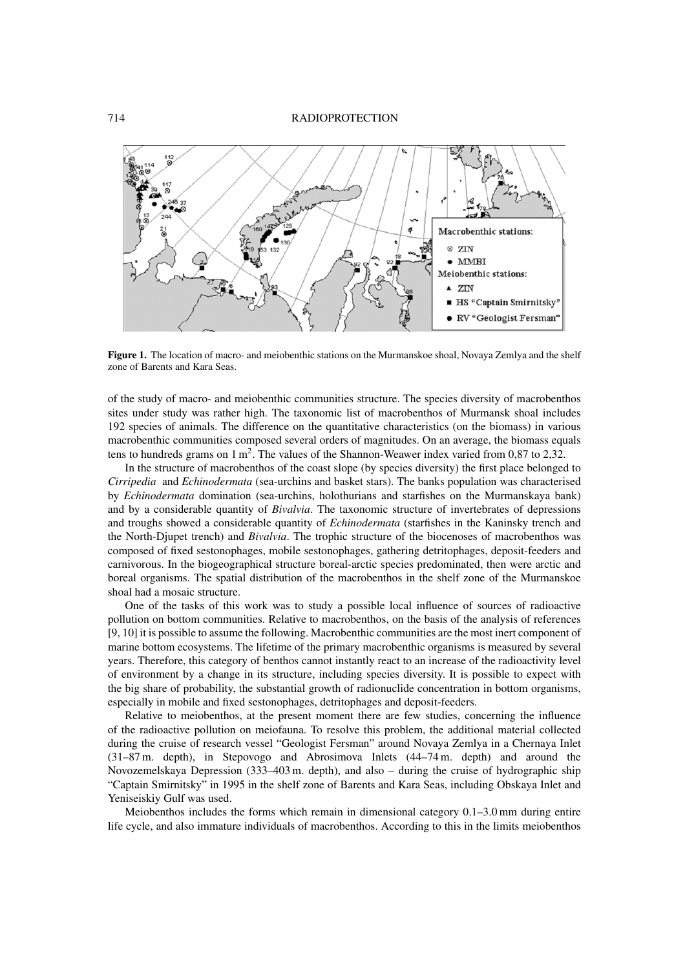

**Figure 1.** The location of macro- and meiobenthic stations on the Murmanskoe shoal, Novaya Zemlya and the shelf zone of Barents and Kara Seas.

of the study of macro- and meiobenthic communities structure. The species diversity of macrobenthos sites under study was rather high. The taxonomic list of macrobenthos of Murmansk shoal includes 192 species of animals. The difference on the quantitative characteristics (on the biomass) in various macrobenthic communities composed several orders of magnitudes. On an average, the biomass equals tens to hundreds grams on  $1 \text{ m}^2$ . The values of the Shannon-Weawer index varied from 0,87 to 2,32.

In the structure of macrobenthos of the coast slope (by species diversity) the first place belonged to *Cirripedia* and *Echinodermata* (sea-urchins and basket stars). The banks population was characterised by *Echinodermata* domination (sea-urchins, holothurians and starfishes on the Murmanskaya bank) and by a considerable quantity of *Bivalvia*. The taxonomic structure of invertebrates of depressions and troughs showed a considerable quantity of *Echinodermata* (starfishes in the Kaninsky trench and the North-Djupet trench) and *Bivalvia*. The trophic structure of the biocenoses of macrobenthos was composed of fixed sestonophages, mobile sestonophages, gathering detritophages, deposit-feeders and carnivorous. In the biogeographical structure boreal-arctic species predominated, then were arctic and boreal organisms. The spatial distribution of the macrobenthos in the shelf zone of the Murmanskoe shoal had a mosaic structure.

One of the tasks of this work was to study a possible local influence of sources of radioactive pollution on bottom communities. Relative to macrobenthos, on the basis of the analysis of references [9, 10] it is possible to assume the following. Macrobenthic communities are the most inert component of marine bottom ecosystems. The lifetime of the primary macrobenthic organisms is measured by several years. Therefore, this category of benthos cannot instantly react to an increase of the radioactivity level of environment by a change in its structure, including species diversity. It is possible to expect with the big share of probability, the substantial growth of radionuclide concentration in bottom organisms, especially in mobile and fixed sestonophages, detritophages and deposit-feeders.

Relative to meiobenthos, at the present moment there are few studies, concerning the influence of the radioactive pollution on meiofauna. To resolve this problem, the additional material collected during the cruise of research vessel "Geologist Fersman" around Novaya Zemlya in a Chernaya Inlet (31–87 m. depth), in Stepovogo and Abrosimova Inlets (44–74 m. depth) and around the Novozemelskaya Depression (333–403 m. depth), and also – during the cruise of hydrographic ship "Captain Smirnitsky" in 1995 in the shelf zone of Barents and Kara Seas, including Obskaya Inlet and Yeniseiskiy Gulf was used.

Meiobenthos includes the forms which remain in dimensional category 0.1–3.0 mm during entire life cycle, and also immature individuals of macrobenthos. According to this in the limits meiobenthos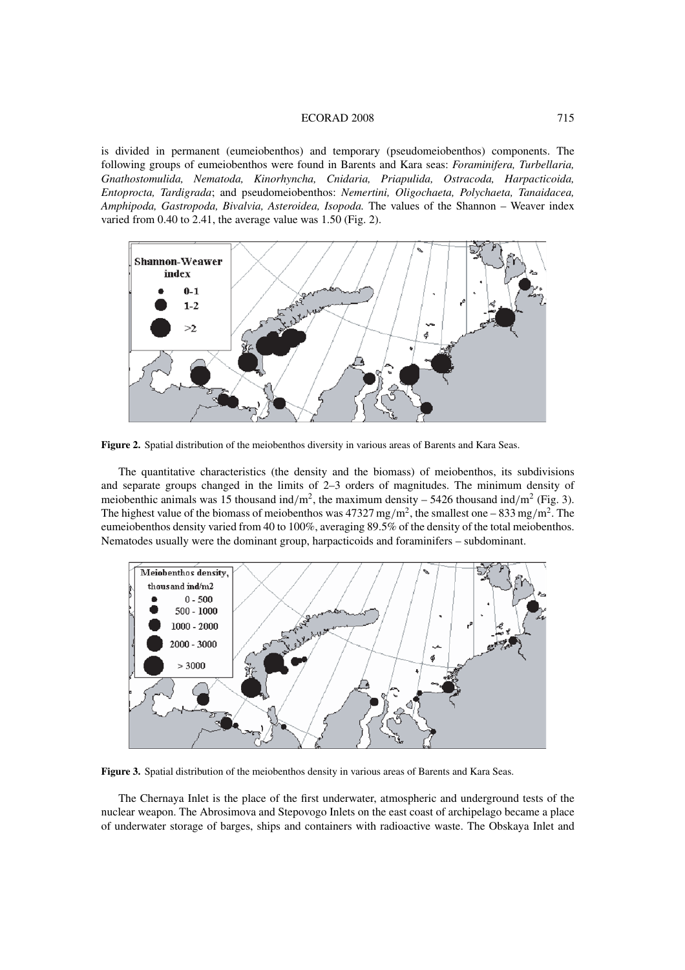#### ECORAD 2008 715

is divided in permanent (eumeiobenthos) and temporary (pseudomeiobenthos) components. The following groups of eumeiobenthos were found in Barents and Kara seas: *Foraminifera, Turbellaria, Gnathostomulida, Nematoda, Kinorhyncha, Cnidaria, Priapulida, Ostracoda, Harpacticoida, Entoprocta, Tardigrada*; and pseudomeiobenthos: *Nemertini, Oligochaeta, Polychaeta, Tanaidacea, Amphipoda, Gastropoda, Bivalvia, Asteroidea, Isopoda.* The values of the Shannon – Weaver index varied from 0.40 to 2.41, the average value was 1.50 (Fig. 2).



**Figure 2.** Spatial distribution of the meiobenthos diversity in various areas of Barents and Kara Seas.

The quantitative characteristics (the density and the biomass) of meiobenthos, its subdivisions and separate groups changed in the limits of 2–3 orders of magnitudes. The minimum density of meiobenthic animals was 15 thousand ind/m<sup>2</sup>, the maximum density – 5426 thousand ind/m<sup>2</sup> (Fig. 3). The highest value of the biomass of meiobenthos was  $47327 \text{ mg/m}^2$ , the smallest one –  $833 \text{ mg/m}^2$ . The eumeiobenthos density varied from 40 to 100%, averaging 89.5% of the density of the total meiobenthos. Nematodes usually were the dominant group, harpacticoids and foraminifers – subdominant.



**Figure 3.** Spatial distribution of the meiobenthos density in various areas of Barents and Kara Seas.

The Chernaya Inlet is the place of the first underwater, atmospheric and underground tests of the nuclear weapon. The Abrosimova and Stepovogo Inlets on the east coast of archipelago became a place of underwater storage of barges, ships and containers with radioactive waste. The Obskaya Inlet and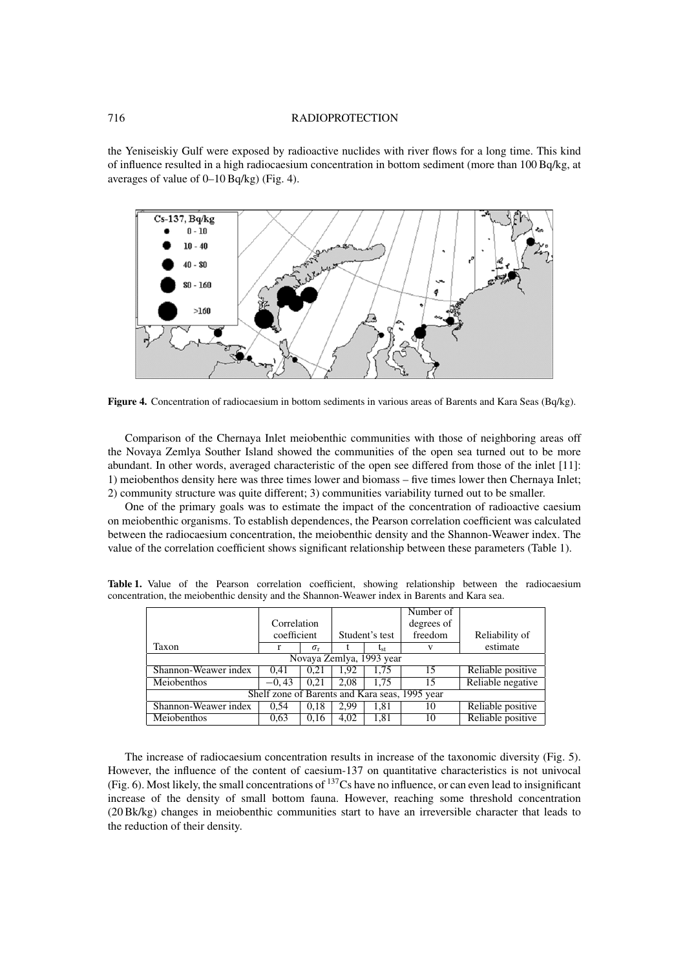#### 716 RADIOPROTECTION

the Yeniseiskiy Gulf were exposed by radioactive nuclides with river flows for a long time. This kind of influence resulted in a high radiocaesium concentration in bottom sediment (more than 100 Bq/kg, at averages of value of 0–10 Bq/kg) (Fig. 4).



**Figure 4.** Concentration of radiocaesium in bottom sediments in various areas of Barents and Kara Seas (Bq/kg).

Comparison of the Chernaya Inlet meiobenthic communities with those of neighboring areas off the Novaya Zemlya Souther Island showed the communities of the open sea turned out to be more abundant. In other words, averaged characteristic of the open see differed from those of the inlet [11]: 1) meiobenthos density here was three times lower and biomass – five times lower then Chernaya Inlet; 2) community structure was quite different; 3) communities variability turned out to be smaller.

One of the primary goals was to estimate the impact of the concentration of radioactive caesium on meiobenthic organisms. To establish dependences, the Pearson correlation coefficient was calculated between the radiocaesium concentration, the meiobenthic density and the Shannon-Weawer index. The value of the correlation coefficient shows significant relationship between these parameters (Table 1).

|                                                |             |                  |                |              | Number of  |                   |
|------------------------------------------------|-------------|------------------|----------------|--------------|------------|-------------------|
|                                                | Correlation |                  |                |              | degrees of |                   |
|                                                | coefficient |                  | Student's test |              | freedom    | Reliability of    |
| Taxon                                          |             | $\sigma_{\rm r}$ |                | $L_{\rm st}$ |            | estimate          |
| Novaya Zemlya, 1993 year                       |             |                  |                |              |            |                   |
| Shannon-Weawer index                           | 0.41        | 0.21             | 1.92           | 1.75         | 15         | Reliable positive |
| Meiobenthos                                    | $-0.43$     | 0.21             | 2.08           | 1.75         | 15         | Reliable negative |
| Shelf zone of Barents and Kara seas, 1995 year |             |                  |                |              |            |                   |
| Shannon-Weawer index                           | 0.54        | 0,18             | 2.99           | 1,81         | 10         | Reliable positive |
| Meiobenthos                                    | 0.63        | 0,16             | 4,02           | 1,81         | 10         | Reliable positive |

Table 1. Value of the Pearson correlation coefficient, showing relationship between the radiocaesium concentration, the meiobenthic density and the Shannon-Weawer index in Barents and Kara sea.

The increase of radiocaesium concentration results in increase of the taxonomic diversity (Fig. 5). However, the influence of the content of caesium-137 on quantitative characteristics is not univocal (Fig. 6). Most likely, the small concentrations of  $^{137}Cs$  have no influence, or can even lead to insignificant increase of the density of small bottom fauna. However, reaching some threshold concentration (20 Bk/kg) changes in meiobenthic communities start to have an irreversible character that leads to the reduction of their density.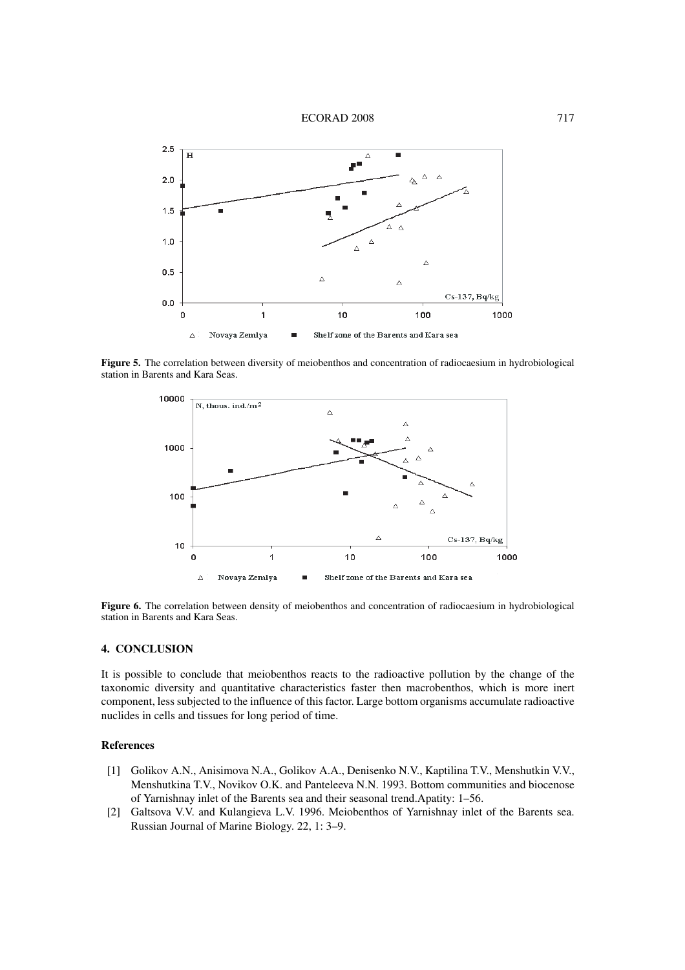



**Figure 5.** The correlation between diversity of meiobenthos and concentration of radiocaesium in hydrobiological station in Barents and Kara Seas.



**Figure 6.** The correlation between density of meiobenthos and concentration of radiocaesium in hydrobiological station in Barents and Kara Seas.

# **4. CONCLUSION**

It is possible to conclude that meiobenthos reacts to the radioactive pollution by the change of the taxonomic diversity and quantitative characteristics faster then macrobenthos, which is more inert component, less subjected to the influence of this factor. Large bottom organisms accumulate radioactive nuclides in cells and tissues for long period of time.

## **References**

- [1] Golikov A.N., Anisimova N.A., Golikov A.A., Denisenko N.V., Kaptilina T.V., Menshutkin V.V., Menshutkina T.V., Novikov O.K. and Panteleeva N.N. 1993. Bottom communities and biocenose of Yarnishnay inlet of the Barents sea and their seasonal trend.Apatity: 1–56.
- [2] Galtsova V.V. and Kulangieva L.V. 1996. Meiobenthos of Yarnishnay inlet of the Barents sea. Russian Journal of Marine Biology. 22, 1: 3–9.